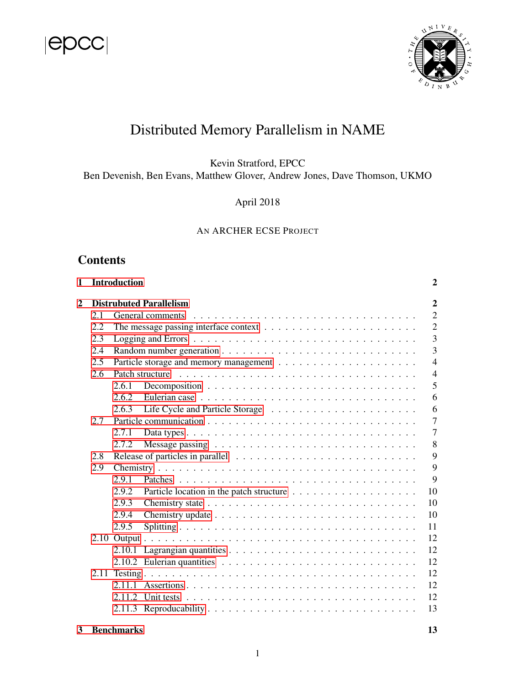



# Distributed Memory Parallelism in NAME

Kevin Stratford, EPCC Ben Devenish, Ben Evans, Matthew Glover, Andrew Jones, Dave Thomson, UKMO

April 2018

### AN ARCHER ECSE PROJECT

# **Contents**

| 1            |     | <b>Introduction</b>                              |                                                                                                    | 2              |  |  |  |
|--------------|-----|--------------------------------------------------|----------------------------------------------------------------------------------------------------|----------------|--|--|--|
| $\mathbf{2}$ |     | <b>Distrubuted Parallelism</b><br>$\overline{2}$ |                                                                                                    |                |  |  |  |
|              | 2.1 |                                                  | General comments                                                                                   | $\overline{2}$ |  |  |  |
|              | 2.2 |                                                  |                                                                                                    | $\overline{2}$ |  |  |  |
|              | 2.3 |                                                  |                                                                                                    | 3              |  |  |  |
|              | 2.4 |                                                  |                                                                                                    | $\overline{3}$ |  |  |  |
|              | 2.5 |                                                  |                                                                                                    | $\overline{4}$ |  |  |  |
|              | 2.6 |                                                  | Patch structure                                                                                    | $\overline{4}$ |  |  |  |
|              |     | 2.6.1                                            |                                                                                                    | 5              |  |  |  |
|              |     | 2.6.2                                            |                                                                                                    | 6              |  |  |  |
|              |     | 2.6.3                                            |                                                                                                    | 6              |  |  |  |
|              | 2.7 |                                                  |                                                                                                    | $\overline{7}$ |  |  |  |
|              |     | 2.7.1                                            |                                                                                                    | $\overline{7}$ |  |  |  |
|              |     | 2.7.2                                            |                                                                                                    | 8              |  |  |  |
|              | 2.8 |                                                  |                                                                                                    | 9              |  |  |  |
|              | 2.9 |                                                  |                                                                                                    | 9              |  |  |  |
|              |     | 2.9.1                                            |                                                                                                    | 9              |  |  |  |
|              |     | 2.9.2                                            |                                                                                                    | 10             |  |  |  |
|              |     | 2.9.3                                            |                                                                                                    | 10             |  |  |  |
|              |     | 2.9.4                                            |                                                                                                    | 10             |  |  |  |
|              |     | 2.9.5                                            |                                                                                                    | 11             |  |  |  |
|              |     |                                                  |                                                                                                    | 12             |  |  |  |
|              |     |                                                  |                                                                                                    | 12             |  |  |  |
|              |     |                                                  | 2.10.2 Eulerian quantities $\ldots \ldots \ldots \ldots \ldots \ldots \ldots \ldots \ldots \ldots$ | 12             |  |  |  |
|              |     |                                                  |                                                                                                    | 12             |  |  |  |
|              |     |                                                  |                                                                                                    | 12             |  |  |  |
|              |     |                                                  |                                                                                                    | 12             |  |  |  |
|              |     |                                                  |                                                                                                    | 13             |  |  |  |
| 3            |     | <b>Benchmarks</b>                                |                                                                                                    | 13             |  |  |  |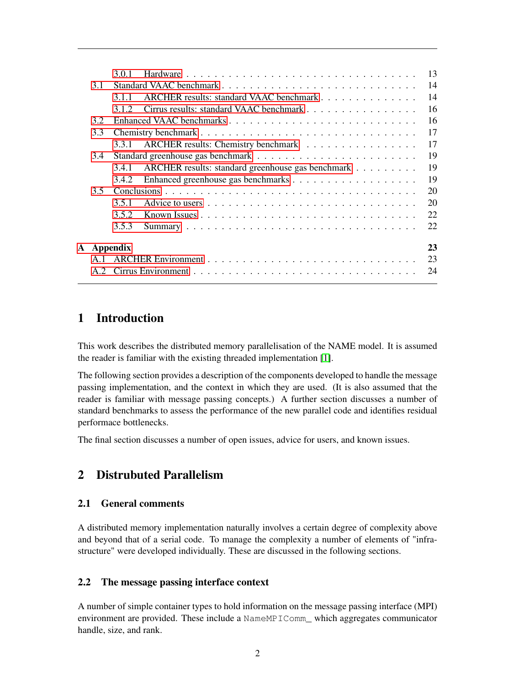|               | 301   |                                                   | 13 |
|---------------|-------|---------------------------------------------------|----|
| 3.1           |       |                                                   | 14 |
|               | 311   | ARCHER results: standard VAAC benchmark           | 14 |
|               | 3.1.2 | Cirrus results: standard VAAC benchmark           | 16 |
| 3.2           |       |                                                   | 16 |
| 3.3           |       |                                                   | 17 |
|               | 3.3.1 | ARCHER results: Chemistry benchmark               | 17 |
| 3.4           |       |                                                   | 19 |
|               | 3.4.1 | ARCHER results: standard greenhouse gas benchmark | 19 |
|               | 3.4.2 |                                                   | 19 |
| $3.5^{\circ}$ |       |                                                   | 20 |
|               | 3.5.1 |                                                   | 20 |
|               | 3.5.2 |                                                   | 22 |
|               | 3.5.3 |                                                   | 22 |
|               |       |                                                   | 23 |
| A Appendix    |       |                                                   |    |
| A.1           |       |                                                   | 23 |
|               |       |                                                   | 24 |
|               |       |                                                   |    |

# <span id="page-1-0"></span>1 Introduction

This work describes the distributed memory parallelisation of the NAME model. It is assumed the reader is familiar with the existing threaded implementation [\[1\]](#page-23-1).

The following section provides a description of the components developed to handle the message passing implementation, and the context in which they are used. (It is also assumed that the reader is familiar with message passing concepts.) A further section discusses a number of standard benchmarks to assess the performance of the new parallel code and identifies residual performace bottlenecks.

The final section discusses a number of open issues, advice for users, and known issues.

# <span id="page-1-1"></span>2 Distrubuted Parallelism

### <span id="page-1-2"></span>2.1 General comments

A distributed memory implementation naturally involves a certain degree of complexity above and beyond that of a serial code. To manage the complexity a number of elements of "infrastructure" were developed individually. These are discussed in the following sections.

### <span id="page-1-3"></span>2.2 The message passing interface context

A number of simple container types to hold information on the message passing interface (MPI) environment are provided. These include a NameMPIComm\_ which aggregates communicator handle, size, and rank.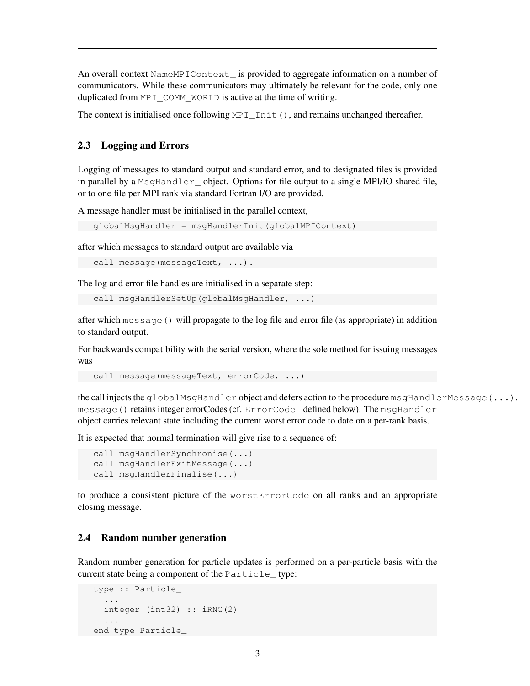An overall context NameMPIContext\_ is provided to aggregate information on a number of communicators. While these communicators may ultimately be relevant for the code, only one duplicated from MPI\_COMM\_WORLD is active at the time of writing.

The context is initialised once following  $MPI_Init()$ , and remains unchanged thereafter.

### <span id="page-2-0"></span>2.3 Logging and Errors

Logging of messages to standard output and standard error, and to designated files is provided in parallel by a MsgHandler object. Options for file output to a single MPI/IO shared file, or to one file per MPI rank via standard Fortran I/O are provided.

A message handler must be initialised in the parallel context,

```
globalMsgHandler = msgHandlerInit(globalMPIContext)
```
after which messages to standard output are available via

```
call message(messageText, ...).
```
The log and error file handles are initialised in a separate step:

```
call msgHandlerSetUp(globalMsgHandler, ...)
```
after which message() will propagate to the log file and error file (as appropriate) in addition to standard output.

For backwards compatibility with the serial version, where the sole method for issuing messages was

call message(messageText, errorCode, ...)

the call injects the globalMsgHandler object and defers action to the procedure msgHandlerMessage(...). message() retains integer errorCodes (cf. ErrorCode defined below). The msgHandler object carries relevant state including the current worst error code to date on a per-rank basis.

It is expected that normal termination will give rise to a sequence of:

```
call msgHandlerSynchronise(...)
call msgHandlerExitMessage(...)
call msgHandlerFinalise(...)
```
to produce a consistent picture of the worstErrorCode on all ranks and an appropriate closing message.

### <span id="page-2-1"></span>2.4 Random number generation

Random number generation for particle updates is performed on a per-particle basis with the current state being a component of the Particle type:

```
type :: Particle_
  ...
  integer (int32) :: iRNG(2)
  ...
end type Particle_
```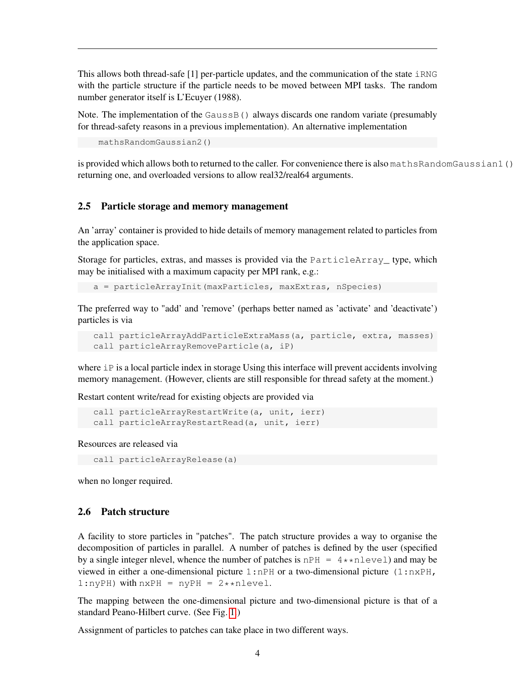This allows both thread-safe  $[1]$  per-particle updates, and the communication of the state  $i$  RNG with the particle structure if the particle needs to be moved between MPI tasks. The random number generator itself is L'Ecuyer (1988).

Note. The implementation of the Gauss B() always discards one random variate (presumably for thread-safety reasons in a previous implementation). An alternative implementation

mathsRandomGaussian2()

is provided which allows both to returned to the caller. For convenience there is also mathsRandomGaussian1() returning one, and overloaded versions to allow real32/real64 arguments.

#### <span id="page-3-0"></span>2.5 Particle storage and memory management

An 'array' container is provided to hide details of memory management related to particles from the application space.

Storage for particles, extras, and masses is provided via the ParticleArray\_ type, which may be initialised with a maximum capacity per MPI rank, e.g.:

a = particleArrayInit(maxParticles, maxExtras, nSpecies)

The preferred way to "add' and 'remove' (perhaps better named as 'activate' and 'deactivate') particles is via

```
call particleArrayAddParticleExtraMass(a, particle, extra, masses)
call particleArrayRemoveParticle(a, iP)
```
where  $i\text{P}$  is a local particle index in storage Using this interface will prevent accidents involving memory management. (However, clients are still responsible for thread safety at the moment.)

Restart content write/read for existing objects are provided via

```
call particleArrayRestartWrite(a, unit, ierr)
call particleArrayRestartRead(a, unit, ierr)
```
Resources are released via

call particleArrayRelease(a)

when no longer required.

### <span id="page-3-1"></span>2.6 Patch structure

A facility to store particles in "patches". The patch structure provides a way to organise the decomposition of particles in parallel. A number of patches is defined by the user (specified by a single integer nlevel, whence the number of patches is  $nPH = 4 \star n[level]$  and may be viewed in either a one-dimensional picture 1:nPH or a two-dimensional picture (1:nxPH,  $1:nyPH$ ) with  $nxPH = nyPH = 2*<sub>x</sub>$ nlevel.

The mapping between the one-dimensional picture and two-dimensional picture is that of a standard Peano-Hilbert curve. (See Fig. [1.](#page-4-1))

Assignment of particles to patches can take place in two different ways.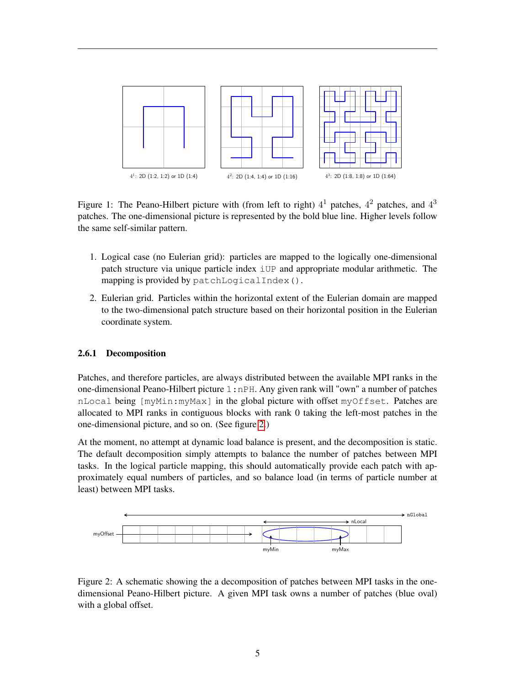

<span id="page-4-1"></span>Figure 1: The Peano-Hilbert picture with (from left to right)  $4^1$  patches,  $4^2$  patches, and  $4^3$ patches. The one-dimensional picture is represented by the bold blue line. Higher levels follow the same self-similar pattern.

- 1. Logical case (no Eulerian grid): particles are mapped to the logically one-dimensional patch structure via unique particle index iUP and appropriate modular arithmetic. The mapping is provided by patchLogicalIndex().
- 2. Eulerian grid. Particles within the horizontal extent of the Eulerian domain are mapped to the two-dimensional patch structure based on their horizontal position in the Eulerian coordinate system.

#### <span id="page-4-0"></span>2.6.1 Decomposition

Patches, and therefore particles, are always distributed between the available MPI ranks in the one-dimensional Peano-Hilbert picture 1:nPH. Any given rank will "own" a number of patches nLocal being [myMin:myMax] in the global picture with offset myOffset. Patches are allocated to MPI ranks in contiguous blocks with rank 0 taking the left-most patches in the one-dimensional picture, and so on. (See figure [2.](#page-4-2))

At the moment, no attempt at dynamic load balance is present, and the decomposition is static. The default decomposition simply attempts to balance the number of patches between MPI tasks. In the logical particle mapping, this should automatically provide each patch with approximately equal numbers of particles, and so balance load (in terms of particle number at least) between MPI tasks.



<span id="page-4-2"></span>Figure 2: A schematic showing the a decomposition of patches between MPI tasks in the onedimensional Peano-Hilbert picture. A given MPI task owns a number of patches (blue oval) with a global offset.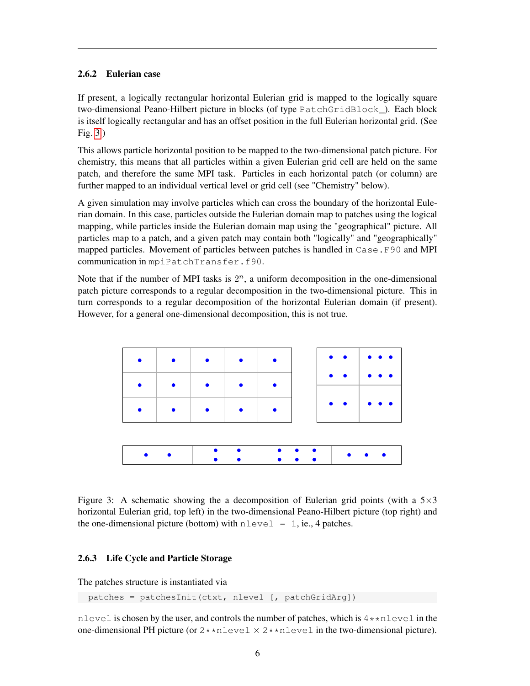### <span id="page-5-0"></span>2.6.2 Eulerian case

If present, a logically rectangular horizontal Eulerian grid is mapped to the logically square two-dimensional Peano-Hilbert picture in blocks (of type PatchGridBlock\_). Each block is itself logically rectangular and has an offset position in the full Eulerian horizontal grid. (See Fig. [3.](#page-5-2))

This allows particle horizontal position to be mapped to the two-dimensional patch picture. For chemistry, this means that all particles within a given Eulerian grid cell are held on the same patch, and therefore the same MPI task. Particles in each horizontal patch (or column) are further mapped to an individual vertical level or grid cell (see "Chemistry" below).

A given simulation may involve particles which can cross the boundary of the horizontal Eulerian domain. In this case, particles outside the Eulerian domain map to patches using the logical mapping, while particles inside the Eulerian domain map using the "geographical" picture. All particles map to a patch, and a given patch may contain both "logically" and "geographically" mapped particles. Movement of particles between patches is handled in Case.F90 and MPI communication in mpiPatchTransfer.f90.

Note that if the number of MPI tasks is  $2<sup>n</sup>$ , a uniform decomposition in the one-dimensional patch picture corresponds to a regular decomposition in the two-dimensional picture. This in turn corresponds to a regular decomposition of the horizontal Eulerian domain (if present). However, for a general one-dimensional decomposition, this is not true.



<span id="page-5-2"></span>Figure 3: A schematic showing the a decomposition of Eulerian grid points (with a  $5\times3$ horizontal Eulerian grid, top left) in the two-dimensional Peano-Hilbert picture (top right) and the one-dimensional picture (bottom) with  $nlevel = 1$ , ie., 4 patches.

### <span id="page-5-1"></span>2.6.3 Life Cycle and Particle Storage

The patches structure is instantiated via

patches = patchesInit(ctxt, nlevel [, patchGridArg])

nlevel is chosen by the user, and controls the number of patches, which is  $4*\texttt{mlevel}$  in the one-dimensional PH picture (or  $2 \star \star$ nlevel  $\times 2 \star \star$ nlevel in the two-dimensional picture).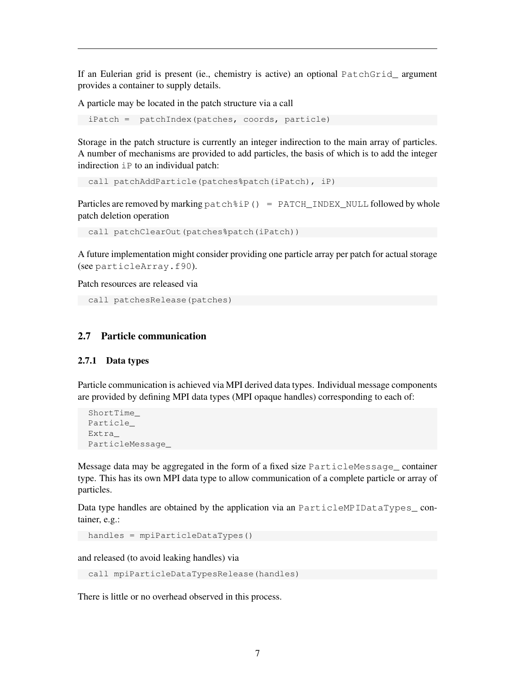If an Eulerian grid is present (ie., chemistry is active) an optional PatchGrid\_ argument provides a container to supply details.

A particle may be located in the patch structure via a call

iPatch = patchIndex(patches, coords, particle)

Storage in the patch structure is currently an integer indirection to the main array of particles. A number of mechanisms are provided to add particles, the basis of which is to add the integer indirection iP to an individual patch:

```
call patchAddParticle(patches%patch(iPatch), iP)
```
Particles are removed by marking patch%iP() = PATCH\_INDEX\_NULL followed by whole patch deletion operation

call patchClearOut(patches%patch(iPatch))

A future implementation might consider providing one particle array per patch for actual storage (see particleArray.f90).

Patch resources are released via

```
call patchesRelease(patches)
```
#### <span id="page-6-0"></span>2.7 Particle communication

#### <span id="page-6-1"></span>2.7.1 Data types

Particle communication is achieved via MPI derived data types. Individual message components are provided by defining MPI data types (MPI opaque handles) corresponding to each of:

```
ShortTime
Particle_
Extra_
ParticleMessage_
```
Message data may be aggregated in the form of a fixed size ParticleMessage\_ container type. This has its own MPI data type to allow communication of a complete particle or array of particles.

Data type handles are obtained by the application via an ParticleMPIDataTypes\_container, e.g.:

```
handles = mpiParticleDataTypes()
```
and released (to avoid leaking handles) via

call mpiParticleDataTypesRelease(handles)

There is little or no overhead observed in this process.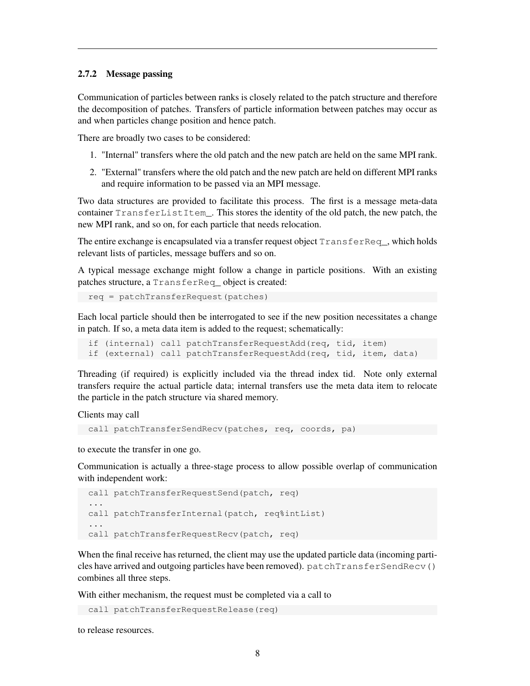#### <span id="page-7-0"></span>2.7.2 Message passing

Communication of particles between ranks is closely related to the patch structure and therefore the decomposition of patches. Transfers of particle information between patches may occur as and when particles change position and hence patch.

There are broadly two cases to be considered:

- 1. "Internal" transfers where the old patch and the new patch are held on the same MPI rank.
- 2. "External" transfers where the old patch and the new patch are held on different MPI ranks and require information to be passed via an MPI message.

Two data structures are provided to facilitate this process. The first is a message meta-data container TransferListItem\_. This stores the identity of the old patch, the new patch, the new MPI rank, and so on, for each particle that needs relocation.

The entire exchange is encapsulated via a transfer request object TransferReq\_, which holds relevant lists of particles, message buffers and so on.

A typical message exchange might follow a change in particle positions. With an existing patches structure, a TransferReq\_ object is created:

req = patchTransferRequest(patches)

Each local particle should then be interrogated to see if the new position necessitates a change in patch. If so, a meta data item is added to the request; schematically:

```
if (internal) call patchTransferRequestAdd(req, tid, item)
if (external) call patchTransferRequestAdd(req, tid, item, data)
```
Threading (if required) is explicitly included via the thread index tid. Note only external transfers require the actual particle data; internal transfers use the meta data item to relocate the particle in the patch structure via shared memory.

Clients may call

```
call patchTransferSendRecv(patches, req, coords, pa)
```
to execute the transfer in one go.

Communication is actually a three-stage process to allow possible overlap of communication with independent work:

```
call patchTransferRequestSend(patch, req)
...
call patchTransferInternal(patch, req%intList)
...
call patchTransferRequestRecv(patch, req)
```
When the final receive has returned, the client may use the updated particle data (incoming particles have arrived and outgoing particles have been removed). patchTransferSendRecv() combines all three steps.

With either mechanism, the request must be completed via a call to

```
call patchTransferRequestRelease(req)
```
to release resources.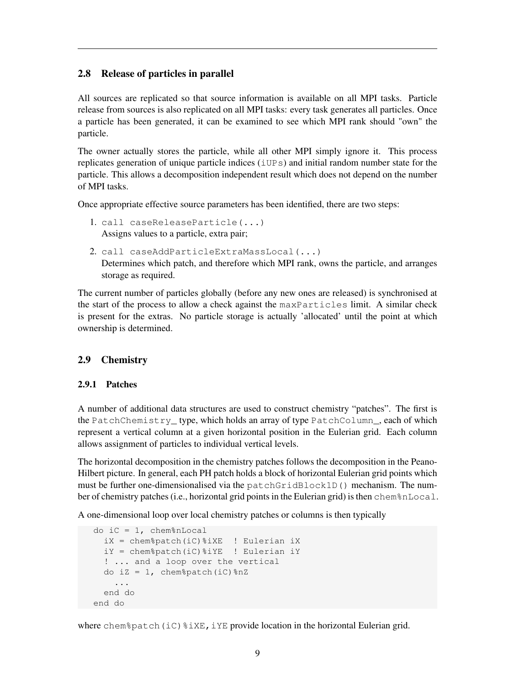### <span id="page-8-0"></span>2.8 Release of particles in parallel

All sources are replicated so that source information is available on all MPI tasks. Particle release from sources is also replicated on all MPI tasks: every task generates all particles. Once a particle has been generated, it can be examined to see which MPI rank should "own" the particle.

The owner actually stores the particle, while all other MPI simply ignore it. This process replicates generation of unique particle indices (iUPs) and initial random number state for the particle. This allows a decomposition independent result which does not depend on the number of MPI tasks.

Once appropriate effective source parameters has been identified, there are two steps:

- 1. call caseReleaseParticle(...) Assigns values to a particle, extra pair;
- 2. call caseAddParticleExtraMassLocal(...) Determines which patch, and therefore which MPI rank, owns the particle, and arranges storage as required.

The current number of particles globally (before any new ones are released) is synchronised at the start of the process to allow a check against the maxParticles limit. A similar check is present for the extras. No particle storage is actually 'allocated' until the point at which ownership is determined.

### <span id="page-8-1"></span>2.9 Chemistry

#### <span id="page-8-2"></span>2.9.1 Patches

A number of additional data structures are used to construct chemistry "patches". The first is the PatchChemistry\_ type, which holds an array of type PatchColumn\_, each of which represent a vertical column at a given horizontal position in the Eulerian grid. Each column allows assignment of particles to individual vertical levels.

The horizontal decomposition in the chemistry patches follows the decomposition in the Peano-Hilbert picture. In general, each PH patch holds a block of horizontal Eulerian grid points which must be further one-dimensionalised via the patchGridBlock1D() mechanism. The number of chemistry patches (i.e., horizontal grid points in the Eulerian grid) is then chem%nLocal.

A one-dimensional loop over local chemistry patches or columns is then typically

```
do iC = 1, chem%nLocal
 iX = chem%patch(iC)%iXE ! Eulerian iX
 iY = chem%patch(iC)%iYE ! Eulerian iY
  ! ... and a loop over the vertical
 do iZ = 1, chem%patch(iC)%nZ
   ...
 end do
end do
```
where chem%patch(iC)%iXE, iYE provide location in the horizontal Eulerian grid.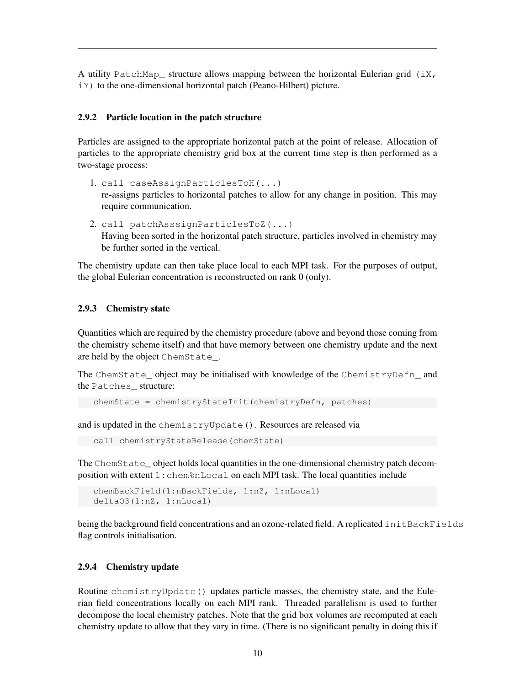A utility PatchMap\_ structure allows mapping between the horizontal Eulerian grid  $(iX,$ iY) to the one-dimensional horizontal patch (Peano-Hilbert) picture.

### <span id="page-9-0"></span>2.9.2 Particle location in the patch structure

Particles are assigned to the appropriate horizontal patch at the point of release. Allocation of particles to the appropriate chemistry grid box at the current time step is then performed as a two-stage process:

- 1. call caseAssignParticlesToH(...) re-assigns particles to horizontal patches to allow for any change in position. This may require communication.
- 2. call patchAsssignParticlesToZ(...) Having been sorted in the horizontal patch structure, particles involved in chemistry may be further sorted in the vertical.

The chemistry update can then take place local to each MPI task. For the purposes of output, the global Eulerian concentration is reconstructed on rank 0 (only).

#### <span id="page-9-1"></span>2.9.3 Chemistry state

Quantities which are required by the chemistry procedure (above and beyond those coming from the chemistry scheme itself) and that have memory between one chemistry update and the next are held by the object ChemState\_.

The ChemState\_ object may be initialised with knowledge of the ChemistryDefn\_ and the Patches\_ structure:

```
chemState = chemistryStateInit(chemistryDefn, patches)
```
and is updated in the chemistryUpdate(). Resources are released via

```
call chemistryStateRelease(chemState)
```
The ChemState\_ object holds local quantities in the one-dimensional chemistry patch decomposition with extent 1:chem%nLocal on each MPI task. The local quantities include

```
chemBackField(1:nBackFields, 1:nZ, 1:nLocal)
deltaO3(1:nZ, 1:nLocal)
```
being the background field concentrations and an ozone-related field. A replicated initBackFields flag controls initialisation.

#### <span id="page-9-2"></span>2.9.4 Chemistry update

Routine chemistryUpdate() updates particle masses, the chemistry state, and the Eulerian field concentrations locally on each MPI rank. Threaded parallelism is used to further decompose the local chemistry patches. Note that the grid box volumes are recomputed at each chemistry update to allow that they vary in time. (There is no significant penalty in doing this if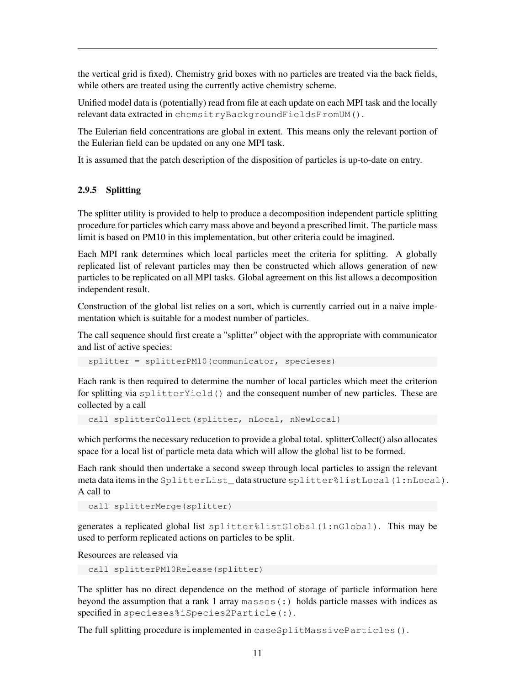the vertical grid is fixed). Chemistry grid boxes with no particles are treated via the back fields, while others are treated using the currently active chemistry scheme.

Unified model data is (potentially) read from file at each update on each MPI task and the locally relevant data extracted in chemsitryBackgroundFieldsFromUM().

The Eulerian field concentrations are global in extent. This means only the relevant portion of the Eulerian field can be updated on any one MPI task.

It is assumed that the patch description of the disposition of particles is up-to-date on entry.

### <span id="page-10-0"></span>2.9.5 Splitting

The splitter utility is provided to help to produce a decomposition independent particle splitting procedure for particles which carry mass above and beyond a prescribed limit. The particle mass limit is based on PM10 in this implementation, but other criteria could be imagined.

Each MPI rank determines which local particles meet the criteria for splitting. A globally replicated list of relevant particles may then be constructed which allows generation of new particles to be replicated on all MPI tasks. Global agreement on this list allows a decomposition independent result.

Construction of the global list relies on a sort, which is currently carried out in a naive implementation which is suitable for a modest number of particles.

The call sequence should first create a "splitter" object with the appropriate with communicator and list of active species:

splitter = splitterPM10(communicator, specieses)

Each rank is then required to determine the number of local particles which meet the criterion for splitting via splitterYield() and the consequent number of new particles. These are collected by a call

call splitterCollect(splitter, nLocal, nNewLocal)

which performs the necessary reducetion to provide a global total. splitterCollect() also allocates space for a local list of particle meta data which will allow the global list to be formed.

Each rank should then undertake a second sweep through local particles to assign the relevant meta data items in the SplitterList\_ data structure splitter%listLocal(1:nLocal). A call to

call splitterMerge(splitter)

generates a replicated global list splitter%listGlobal(1:nGlobal). This may be used to perform replicated actions on particles to be split.

Resources are released via

call splitterPM10Release(splitter)

The splitter has no direct dependence on the method of storage of particle information here beyond the assumption that a rank 1 array masses $( \cdot )$  holds particle masses with indices as specified in specieses%iSpecies2Particle(:).

The full splitting procedure is implemented in caseSplitMassiveParticles().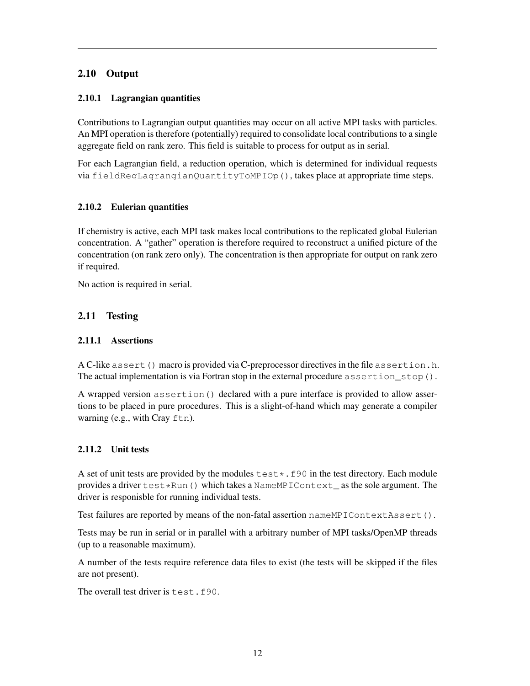### <span id="page-11-0"></span>2.10 Output

### <span id="page-11-1"></span>2.10.1 Lagrangian quantities

Contributions to Lagrangian output quantities may occur on all active MPI tasks with particles. An MPI operation is therefore (potentially) required to consolidate local contributions to a single aggregate field on rank zero. This field is suitable to process for output as in serial.

For each Lagrangian field, a reduction operation, which is determined for individual requests via fieldReqLagrangianQuantityToMPIOp(), takes place at appropriate time steps.

### <span id="page-11-2"></span>2.10.2 Eulerian quantities

If chemistry is active, each MPI task makes local contributions to the replicated global Eulerian concentration. A "gather" operation is therefore required to reconstruct a unified picture of the concentration (on rank zero only). The concentration is then appropriate for output on rank zero if required.

No action is required in serial.

### <span id="page-11-3"></span>2.11 Testing

### <span id="page-11-4"></span>2.11.1 Assertions

A C-like assert() macro is provided via C-preprocessor directives in the file assertion.h. The actual implementation is via Fortran stop in the external procedure assertion\_stop().

A wrapped version assertion () declared with a pure interface is provided to allow assertions to be placed in pure procedures. This is a slight-of-hand which may generate a compiler warning (e.g., with Cray ftn).

### <span id="page-11-5"></span>2.11.2 Unit tests

A set of unit tests are provided by the modules  $\texttt{test*}.f90$  in the test directory. Each module provides a driver  $test*Run()$  which takes a NameMPIContext\_as the sole argument. The driver is responisble for running individual tests.

Test failures are reported by means of the non-fatal assertion nameMPIContextAssert().

Tests may be run in serial or in parallel with a arbitrary number of MPI tasks/OpenMP threads (up to a reasonable maximum).

A number of the tests require reference data files to exist (the tests will be skipped if the files are not present).

The overall test driver is test.f90.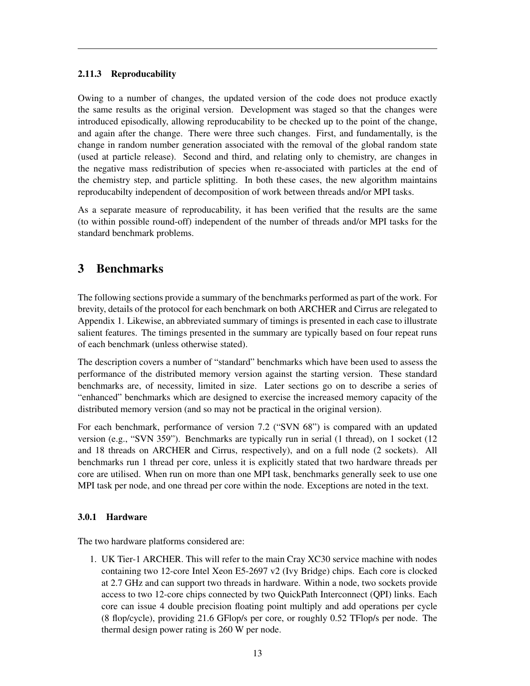### <span id="page-12-0"></span>2.11.3 Reproducability

Owing to a number of changes, the updated version of the code does not produce exactly the same results as the original version. Development was staged so that the changes were introduced episodically, allowing reproducability to be checked up to the point of the change, and again after the change. There were three such changes. First, and fundamentally, is the change in random number generation associated with the removal of the global random state (used at particle release). Second and third, and relating only to chemistry, are changes in the negative mass redistribution of species when re-associated with particles at the end of the chemistry step, and particle splitting. In both these cases, the new algorithm maintains reproducabilty independent of decomposition of work between threads and/or MPI tasks.

As a separate measure of reproducability, it has been verified that the results are the same (to within possible round-off) independent of the number of threads and/or MPI tasks for the standard benchmark problems.

# <span id="page-12-1"></span>3 Benchmarks

The following sections provide a summary of the benchmarks performed as part of the work. For brevity, details of the protocol for each benchmark on both ARCHER and Cirrus are relegated to Appendix 1. Likewise, an abbreviated summary of timings is presented in each case to illustrate salient features. The timings presented in the summary are typically based on four repeat runs of each benchmark (unless otherwise stated).

The description covers a number of "standard" benchmarks which have been used to assess the performance of the distributed memory version against the starting version. These standard benchmarks are, of necessity, limited in size. Later sections go on to describe a series of "enhanced" benchmarks which are designed to exercise the increased memory capacity of the distributed memory version (and so may not be practical in the original version).

For each benchmark, performance of version 7.2 ("SVN 68") is compared with an updated version (e.g., "SVN 359"). Benchmarks are typically run in serial (1 thread), on 1 socket (12 and 18 threads on ARCHER and Cirrus, respectively), and on a full node (2 sockets). All benchmarks run 1 thread per core, unless it is explicitly stated that two hardware threads per core are utilised. When run on more than one MPI task, benchmarks generally seek to use one MPI task per node, and one thread per core within the node. Exceptions are noted in the text.

### <span id="page-12-2"></span>3.0.1 Hardware

The two hardware platforms considered are:

1. UK Tier-1 ARCHER. This will refer to the main Cray XC30 service machine with nodes containing two 12-core Intel Xeon E5-2697 v2 (Ivy Bridge) chips. Each core is clocked at 2.7 GHz and can support two threads in hardware. Within a node, two sockets provide access to two 12-core chips connected by two QuickPath Interconnect (QPI) links. Each core can issue 4 double precision floating point multiply and add operations per cycle (8 flop/cycle), providing 21.6 GFlop/s per core, or roughly 0.52 TFlop/s per node. The thermal design power rating is 260 W per node.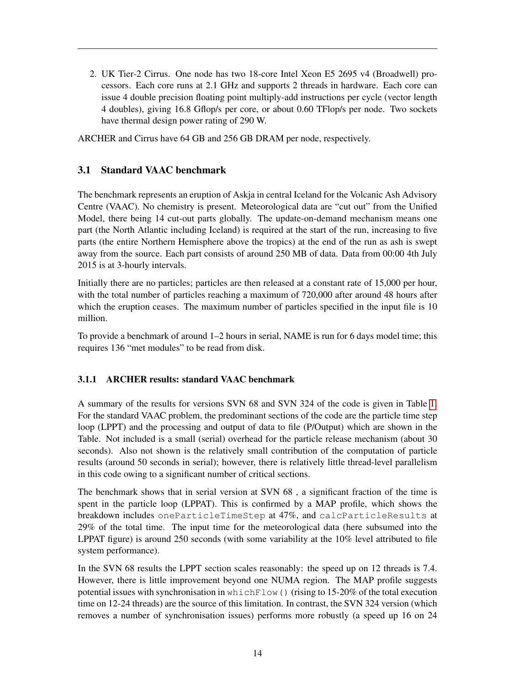2. UK Tier-2 Cirrus. One node has two 18-core Intel Xeon E5 2695 v4 (Broadwell) processors. Each core runs at 2.1 GHz and supports 2 threads in hardware. Each core can issue 4 double precision floating point multiply-add instructions per cycle (vector length 4 doubles), giving 16.8 Gflop/s per core, or about 0.60 TFlop/s per node. Two sockets have thermal design power rating of 290 W.

ARCHER and Cirrus have 64 GB and 256 GB DRAM per node, respectively.

### <span id="page-13-0"></span>3.1 Standard VAAC benchmark

The benchmark represents an eruption of Askja in central Iceland for the Volcanic Ash Advisory Centre (VAAC). No chemistry is present. Meteorological data are "cut out" from the Unified Model, there being 14 cut-out parts globally. The update-on-demand mechanism means one part (the North Atlantic including Iceland) is required at the start of the run, increasing to five parts (the entire Northern Hemisphere above the tropics) at the end of the run as ash is swept away from the source. Each part consists of around 250 MB of data. Data from 00:00 4th July 2015 is at 3-hourly intervals.

Initially there are no particles; particles are then released at a constant rate of 15,000 per hour, with the total number of particles reaching a maximum of 720,000 after around 48 hours after which the eruption ceases. The maximum number of particles specified in the input file is 10 million.

To provide a benchmark of around 1–2 hours in serial, NAME is run for 6 days model time; this requires 136 "met modules" to be read from disk.

### <span id="page-13-1"></span>3.1.1 ARCHER results: standard VAAC benchmark

A summary of the results for versions SVN 68 and SVN 324 of the code is given in Table [1.](#page-14-0) For the standard VAAC problem, the predominant sections of the code are the particle time step loop (LPPT) and the processing and output of data to file (P/Output) which are shown in the Table. Not included is a small (serial) overhead for the particle release mechanism (about 30 seconds). Also not shown is the relatively small contribution of the computation of particle results (around 50 seconds in serial); however, there is relatively little thread-level parallelism in this code owing to a significant number of critical sections.

The benchmark shows that in serial version at SVN 68 , a significant fraction of the time is spent in the particle loop (LPPAT). This is confirmed by a MAP profile, which shows the breakdown includes oneParticleTimeStep at 47%, and calcParticleResults at 29% of the total time. The input time for the meteorological data (here subsumed into the LPPAT figure) is around 250 seconds (with some variability at the 10% level attributed to file system performance).

In the SVN 68 results the LPPT section scales reasonably: the speed up on 12 threads is 7.4. However, there is little improvement beyond one NUMA region. The MAP profile suggests potential issues with synchronisation in which  $F$ low() (rising to 15-20% of the total execution time on 12-24 threads) are the source of this limitation. In contrast, the SVN 324 version (which removes a number of synchronisation issues) performs more robustly (a speed up 16 on 24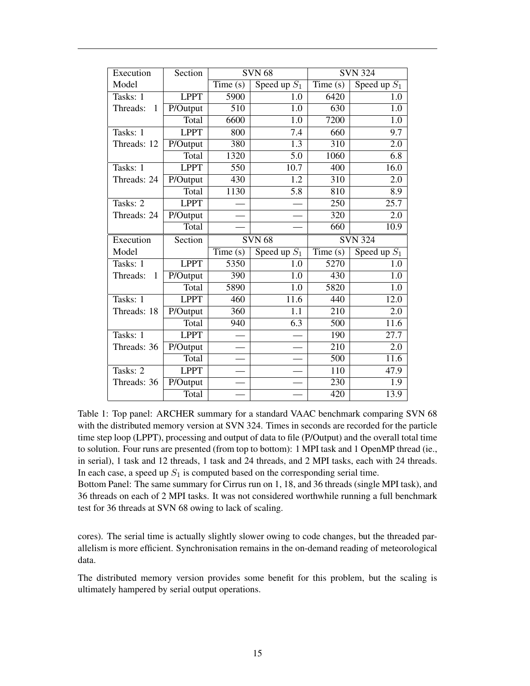| Execution                | Section                |                  | <b>SVN 68</b>             | <b>SVN 324</b>   |                   |
|--------------------------|------------------------|------------------|---------------------------|------------------|-------------------|
| Model                    |                        | Time(s)          | Speed up $\overline{S_1}$ | Time(s)          | Speed up $S_1$    |
| Tasks: 1                 | <b>LPPT</b>            | 5900             | 1.0                       | 6420             | 1.0               |
| Threads:<br>1            | $\overline{P}/O$ utput | $\overline{510}$ | 1.0                       | 630              | $\overline{1.0}$  |
|                          | Total                  | 6600             | 1.0                       | 7200             | $\overline{1.0}$  |
| Tasks: 1                 | <b>LPPT</b>            | 800              | 7.4                       | 660              | 9.7               |
| Threads: 12              | $\overline{P}/O$ utput | 380              | $\overline{1.3}$          | $\overline{310}$ | $\overline{2.0}$  |
|                          | Total                  | 1320             | 5.0                       | 1060             | 6.8               |
| Tasks: 1                 | <b>LPPT</b>            | 550              | 10.7                      | 400              | 16.0              |
| Threads: 24              | $\overline{P}/O$ utput | 430              | $\overline{1.2}$          | 310              | 2.0               |
|                          | Total                  | 1130             | 5.8                       | 810              | 8.9               |
| Tasks: 2                 | <b>LPPT</b>            |                  |                           | 250              | $\overline{25.7}$ |
| Threads: 24              | P/Output               |                  |                           | 320              | 2.0               |
|                          | Total                  |                  |                           | 660              | 10.9              |
| Execution                | Section                | SVN68            |                           |                  | <b>SVN 324</b>    |
| Model                    |                        | Time $(s)$       | Speed up $\overline{S_1}$ | Time(s)          | Speed up $S_1$    |
|                          |                        |                  |                           |                  |                   |
| Tasks: 1                 | <b>LPPT</b>            | 5350             | 1.0                       | 5270             | 1.0               |
| $\mathbf{1}$<br>Threads: | $\overline{P}/O$ utput | 390              | $\overline{1.0}$          | 430              | $\overline{1.0}$  |
|                          | Total                  | 5890             | 1.0                       | 5820             | 1.0               |
| Tasks: 1                 | <b>LPPT</b>            | 460              | 11.6                      | 440              | 12.0              |
| Threads: 18              | P/Output               | 360              | 1.1                       | 210              | 2.0               |
|                          | Total                  | 940              | 6.3                       | 500              | 11.6              |
| Tasks: 1                 | <b>LPPT</b>            |                  |                           | 190              | 27.7              |
| Threads: 36              | P/Output               |                  |                           | $\overline{210}$ | 2.0               |
|                          | Total                  |                  |                           | 500              | 11.6              |
| Tasks: 2                 | <b>LPPT</b>            |                  |                           | 110              | 47.9              |
| Threads: 36              | P/Output               |                  |                           | 230              | 1.9               |

<span id="page-14-0"></span>Table 1: Top panel: ARCHER summary for a standard VAAC benchmark comparing SVN 68 with the distributed memory version at SVN 324. Times in seconds are recorded for the particle time step loop (LPPT), processing and output of data to file (P/Output) and the overall total time to solution. Four runs are presented (from top to bottom): 1 MPI task and 1 OpenMP thread (ie., in serial), 1 task and 12 threads, 1 task and 24 threads, and 2 MPI tasks, each with 24 threads. In each case, a speed up  $S_1$  is computed based on the corresponding serial time.

Bottom Panel: The same summary for Cirrus run on 1, 18, and 36 threads (single MPI task), and 36 threads on each of 2 MPI tasks. It was not considered worthwhile running a full benchmark test for 36 threads at SVN 68 owing to lack of scaling.

cores). The serial time is actually slightly slower owing to code changes, but the threaded parallelism is more efficient. Synchronisation remains in the on-demand reading of meteorological data.

The distributed memory version provides some benefit for this problem, but the scaling is ultimately hampered by serial output operations.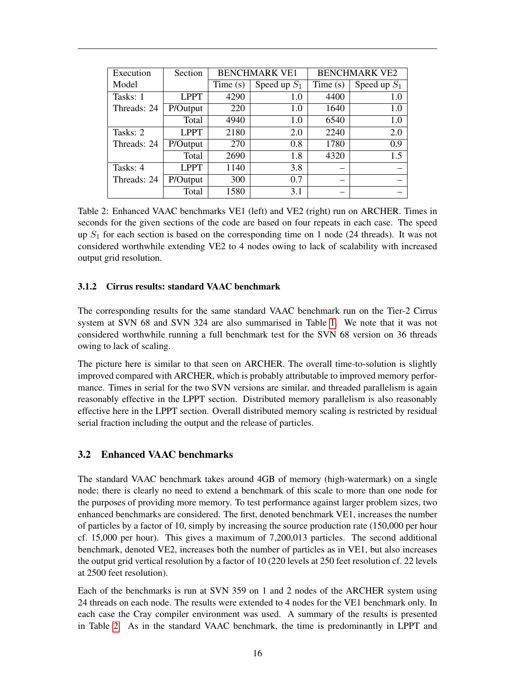| Execution   | Section     |         | <b>BENCHMARK VE1</b> | <b>BENCHMARK VE2</b> |                |
|-------------|-------------|---------|----------------------|----------------------|----------------|
| Model       |             | Time(s) | Speed up $S_1$       | Time(s)              | Speed up $S_1$ |
| Tasks: 1    | LPPT        | 4290    | 1.0                  | 4400                 | 1.0            |
| Threads: 24 | P/Output    | 220     | 1.0                  | 1640                 | 1.0            |
|             | Total       | 4940    | 1.0                  | 6540                 | 1.0            |
| Tasks: 2    | <b>LPPT</b> | 2180    | 2.0                  | 2240                 | 2.0            |
| Threads: 24 | P/Output    | 270     | 0.8                  | 1780                 | 0.9            |
|             | Total       | 2690    | 1.8                  | 4320                 | 1.5            |
| Tasks: 4    | LPPT        | 1140    | 3.8                  |                      |                |
| Threads: 24 | P/Output    | 300     | 0.7                  |                      |                |
|             | Total       | 1580    | 3.1                  |                      |                |

<span id="page-15-2"></span>Table 2: Enhanced VAAC benchmarks VE1 (left) and VE2 (right) run on ARCHER. Times in seconds for the given sections of the code are based on four repeats in each case. The speed up  $S_1$  for each section is based on the corresponding time on 1 node (24 threads). It was not considered worthwhile extending VE2 to 4 nodes owing to lack of scalability with increased output grid resolution.

### <span id="page-15-0"></span>3.1.2 Cirrus results: standard VAAC benchmark

The corresponding results for the same standard VAAC benchmark run on the Tier-2 Cirrus system at SVN 68 and SVN 324 are also summarised in Table [1.](#page-14-0) We note that it was not considered worthwhile running a full benchmark test for the SVN 68 version on 36 threads owing to lack of scaling.

The picture here is similar to that seen on ARCHER. The overall time-to-solution is slightly improved compared with ARCHER, which is probably attributable to improved memory performance. Times in serial for the two SVN versions are similar, and threaded parallelism is again reasonably effective in the LPPT section. Distributed memory parallelism is also reasonably effective here in the LPPT section. Overall distributed memory scaling is restricted by residual serial fraction including the output and the release of particles.

### <span id="page-15-1"></span>3.2 Enhanced VAAC benchmarks

The standard VAAC benchmark takes around 4GB of memory (high-watermark) on a single node; there is clearly no need to extend a benchmark of this scale to more than one node for the purposes of providing more memory. To test performance against larger problem sizes, two enhanced benchmarks are considered. The first, denoted benchmark VE1, increases the number of particles by a factor of 10, simply by increasing the source production rate (150,000 per hour cf. 15,000 per hour). This gives a maximum of 7,200,013 particles. The second additional benchmark, denoted VE2, increases both the number of particles as in VE1, but also increases the output grid vertical resolution by a factor of 10 (220 levels at 250 feet resolution cf. 22 levels at 2500 feet resolution).

Each of the benchmarks is run at SVN 359 on 1 and 2 nodes of the ARCHER system using 24 threads on each node. The results were extended to 4 nodes for the VE1 benchmark only. In each case the Cray compiler environment was used. A summary of the results is presented in Table [2.](#page-15-2) As in the standard VAAC benchmark, the time is predominantly in LPPT and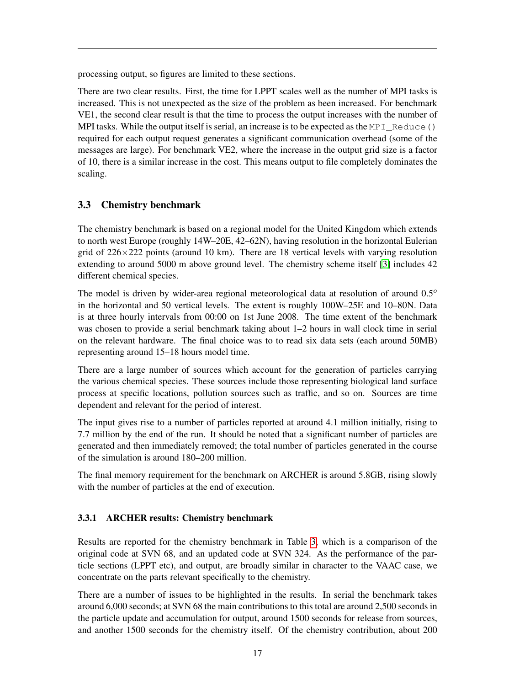processing output, so figures are limited to these sections.

There are two clear results. First, the time for LPPT scales well as the number of MPI tasks is increased. This is not unexpected as the size of the problem as been increased. For benchmark VE1, the second clear result is that the time to process the output increases with the number of MPI tasks. While the output itself is serial, an increase is to be expected as the  $MPI\_Reduce()$ required for each output request generates a significant communication overhead (some of the messages are large). For benchmark VE2, where the increase in the output grid size is a factor of 10, there is a similar increase in the cost. This means output to file completely dominates the scaling.

### <span id="page-16-0"></span>3.3 Chemistry benchmark

The chemistry benchmark is based on a regional model for the United Kingdom which extends to north west Europe (roughly 14W–20E, 42–62N), having resolution in the horizontal Eulerian grid of  $226 \times 222$  points (around 10 km). There are 18 vertical levels with varying resolution extending to around 5000 m above ground level. The chemistry scheme itself [\[3\]](#page-23-2) includes 42 different chemical species.

The model is driven by wider-area regional meteorological data at resolution of around  $0.5^\circ$ in the horizontal and 50 vertical levels. The extent is roughly 100W–25E and 10–80N. Data is at three hourly intervals from 00:00 on 1st June 2008. The time extent of the benchmark was chosen to provide a serial benchmark taking about 1–2 hours in wall clock time in serial on the relevant hardware. The final choice was to to read six data sets (each around 50MB) representing around 15–18 hours model time.

There are a large number of sources which account for the generation of particles carrying the various chemical species. These sources include those representing biological land surface process at specific locations, pollution sources such as traffic, and so on. Sources are time dependent and relevant for the period of interest.

The input gives rise to a number of particles reported at around 4.1 million initially, rising to 7.7 million by the end of the run. It should be noted that a significant number of particles are generated and then immediately removed; the total number of particles generated in the course of the simulation is around 180–200 million.

The final memory requirement for the benchmark on ARCHER is around 5.8GB, rising slowly with the number of particles at the end of execution.

### <span id="page-16-1"></span>3.3.1 ARCHER results: Chemistry benchmark

Results are reported for the chemistry benchmark in Table [3,](#page-17-0) which is a comparison of the original code at SVN 68, and an updated code at SVN 324. As the performance of the particle sections (LPPT etc), and output, are broadly similar in character to the VAAC case, we concentrate on the parts relevant specifically to the chemistry.

There are a number of issues to be highlighted in the results. In serial the benchmark takes around 6,000 seconds; at SVN 68 the main contributions to this total are around 2,500 seconds in the particle update and accumulation for output, around 1500 seconds for release from sources, and another 1500 seconds for the chemistry itself. Of the chemistry contribution, about 200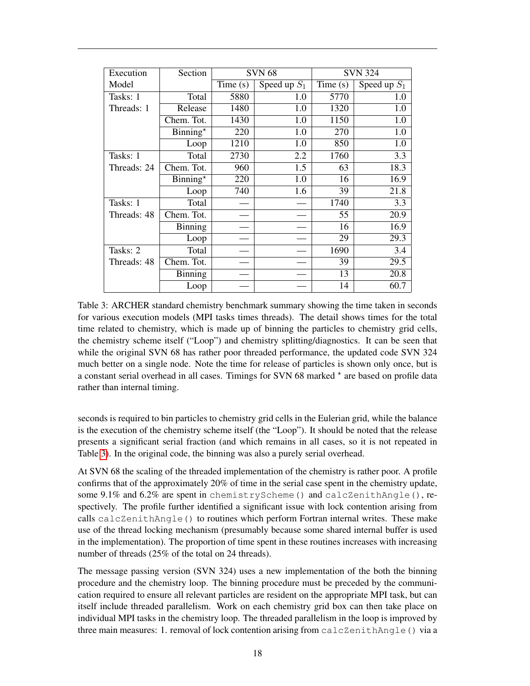| Execution   | Section           |         | <b>SVN 68</b>  | <b>SVN 324</b> |                |
|-------------|-------------------|---------|----------------|----------------|----------------|
| Model       |                   | Time(s) | Speed up $S_1$ | Time(s)        | Speed up $S_1$ |
| Tasks: 1    | Total             | 5880    | 1.0            | 5770           | 1.0            |
| Threads: 1  | Release           | 1480    | 1.0            | 1320           | 1.0            |
|             | Chem. Tot.        | 1430    | 1.0            | 1150           | 1.0            |
|             | $Binning^{\star}$ | 220     | 1.0            | 270            | 1.0            |
|             | Loop              | 1210    | 1.0            | 850            | 1.0            |
| Tasks: 1    | Total             | 2730    | 2.2            | 1760           | 3.3            |
| Threads: 24 | Chem. Tot.        | 960     | 1.5            | 63             | 18.3           |
|             | Binning $*$       | 220     | 1.0            | 16             | 16.9           |
|             | Loop              | 740     | 1.6            | 39             | 21.8           |
| Tasks: 1    | Total             |         |                | 1740           | 3.3            |
| Threads: 48 | Chem. Tot.        |         |                | 55             | 20.9           |
|             | Binning           |         |                | 16             | 16.9           |
|             | Loop              |         |                | 29             | 29.3           |
| Tasks: 2    | Total             |         |                | 1690           | 3.4            |
| Threads: 48 | Chem. Tot.        |         |                | 39             | 29.5           |
|             | Binning           |         |                | 13             | 20.8           |
|             | Loop              |         |                | 14             | 60.7           |

<span id="page-17-0"></span>Table 3: ARCHER standard chemistry benchmark summary showing the time taken in seconds for various execution models (MPI tasks times threads). The detail shows times for the total time related to chemistry, which is made up of binning the particles to chemistry grid cells, the chemistry scheme itself ("Loop") and chemistry splitting/diagnostics. It can be seen that while the original SVN 68 has rather poor threaded performance, the updated code SVN 324 much better on a single node. Note the time for release of particles is shown only once, but is a constant serial overhead in all cases. Timings for SVN 68 marked  $\star$  are based on profile data rather than internal timing.

seconds is required to bin particles to chemistry grid cells in the Eulerian grid, while the balance is the execution of the chemistry scheme itself (the "Loop"). It should be noted that the release presents a significant serial fraction (and which remains in all cases, so it is not repeated in Table [3\)](#page-17-0). In the original code, the binning was also a purely serial overhead.

At SVN 68 the scaling of the threaded implementation of the chemistry is rather poor. A profile confirms that of the approximately 20% of time in the serial case spent in the chemistry update, some 9.1% and 6.2% are spent in chemistryScheme() and calcZenithAngle(), respectively. The profile further identified a significant issue with lock contention arising from calls calcZenithAngle() to routines which perform Fortran internal writes. These make use of the thread locking mechanism (presumably because some shared internal buffer is used in the implementation). The proportion of time spent in these routines increases with increasing number of threads (25% of the total on 24 threads).

The message passing version (SVN 324) uses a new implementation of the both the binning procedure and the chemistry loop. The binning procedure must be preceded by the communication required to ensure all relevant particles are resident on the appropriate MPI task, but can itself include threaded parallelism. Work on each chemistry grid box can then take place on individual MPI tasks in the chemistry loop. The threaded parallelism in the loop is improved by three main measures: 1. removal of lock contention arising from calcZenithAngle() via a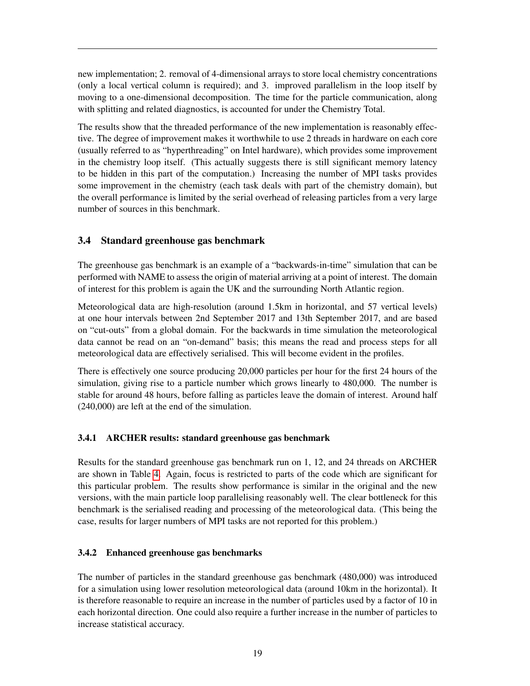new implementation; 2. removal of 4-dimensional arrays to store local chemistry concentrations (only a local vertical column is required); and 3. improved parallelism in the loop itself by moving to a one-dimensional decomposition. The time for the particle communication, along with splitting and related diagnostics, is accounted for under the Chemistry Total.

The results show that the threaded performance of the new implementation is reasonably effective. The degree of improvement makes it worthwhile to use 2 threads in hardware on each core (usually referred to as "hyperthreading" on Intel hardware), which provides some improvement in the chemistry loop itself. (This actually suggests there is still significant memory latency to be hidden in this part of the computation.) Increasing the number of MPI tasks provides some improvement in the chemistry (each task deals with part of the chemistry domain), but the overall performance is limited by the serial overhead of releasing particles from a very large number of sources in this benchmark.

### <span id="page-18-0"></span>3.4 Standard greenhouse gas benchmark

The greenhouse gas benchmark is an example of a "backwards-in-time" simulation that can be performed with NAME to assess the origin of material arriving at a point of interest. The domain of interest for this problem is again the UK and the surrounding North Atlantic region.

Meteorological data are high-resolution (around 1.5km in horizontal, and 57 vertical levels) at one hour intervals between 2nd September 2017 and 13th September 2017, and are based on "cut-outs" from a global domain. For the backwards in time simulation the meteorological data cannot be read on an "on-demand" basis; this means the read and process steps for all meteorological data are effectively serialised. This will become evident in the profiles.

There is effectively one source producing 20,000 particles per hour for the first 24 hours of the simulation, giving rise to a particle number which grows linearly to 480,000. The number is stable for around 48 hours, before falling as particles leave the domain of interest. Around half (240,000) are left at the end of the simulation.

### <span id="page-18-1"></span>3.4.1 ARCHER results: standard greenhouse gas benchmark

Results for the standard greenhouse gas benchmark run on 1, 12, and 24 threads on ARCHER are shown in Table [4.](#page-19-2) Again, focus is restricted to parts of the code which are significant for this particular problem. The results show performance is similar in the original and the new versions, with the main particle loop parallelising reasonably well. The clear bottleneck for this benchmark is the serialised reading and processing of the meteorological data. (This being the case, results for larger numbers of MPI tasks are not reported for this problem.)

### <span id="page-18-2"></span>3.4.2 Enhanced greenhouse gas benchmarks

The number of particles in the standard greenhouse gas benchmark (480,000) was introduced for a simulation using lower resolution meteorological data (around 10km in the horizontal). It is therefore reasonable to require an increase in the number of particles used by a factor of 10 in each horizontal direction. One could also require a further increase in the number of particles to increase statistical accuracy.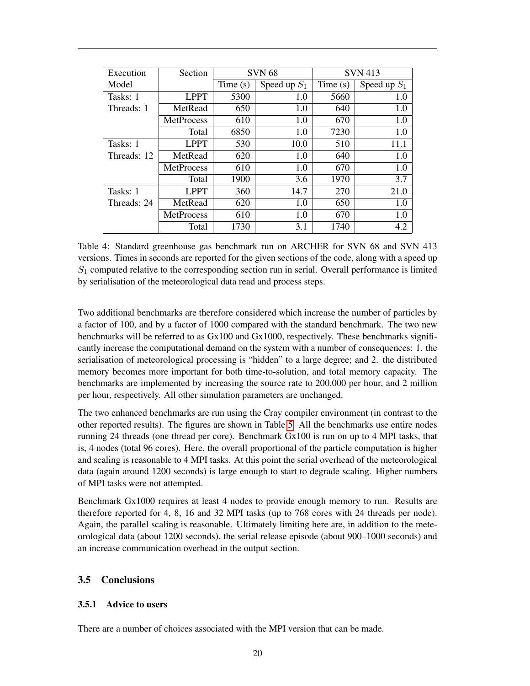| Execution   | Section           |                            | <b>SVN 68</b> | <b>SVN</b> 413 |                |
|-------------|-------------------|----------------------------|---------------|----------------|----------------|
| Model       |                   | Speed up $S_1$<br>Time (s) |               | Time(s)        | Speed up $S_1$ |
| Tasks: 1    | <b>LPPT</b>       | 5300                       | 1.0           | 5660           | 1.0            |
| Threads: 1  | MetRead           | 650                        | 1.0           | 640            | 1.0            |
|             | MetProcess        | 610                        | 1.0           | 670            | 1.0            |
|             | Total             | 6850                       | 1.0           | 7230           | 1.0            |
| Tasks: 1    | <b>LPPT</b>       | 530                        | 10.0          | 510            | 11.1           |
| Threads: 12 | MetRead           | 620                        | 1.0           | 640            | 1.0            |
|             | MetProcess        | 610                        | 1.0           | 670            | 1.0            |
|             | Total             | 1900                       | 3.6           | 1970           | 3.7            |
| Tasks: 1    | <b>LPPT</b>       | 360                        | 14.7          | 270            | 21.0           |
| Threads: 24 | MetRead           | 620                        | 1.0           | 650            | 1.0            |
|             | <b>MetProcess</b> | 610                        | 1.0           | 670            | 1.0            |
|             | Total             | 1730                       | 3.1           | 1740           | 4.2            |

<span id="page-19-2"></span>Table 4: Standard greenhouse gas benchmark run on ARCHER for SVN 68 and SVN 413 versions. Times in seconds are reported for the given sections of the code, along with a speed up  $S_1$  computed relative to the corresponding section run in serial. Overall performance is limited by serialisation of the meteorological data read and process steps.

Two additional benchmarks are therefore considered which increase the number of particles by a factor of 100, and by a factor of 1000 compared with the standard benchmark. The two new benchmarks will be referred to as Gx100 and Gx1000, respectively. These benchmarks significantly increase the computational demand on the system with a number of consequences: 1. the serialisation of meteorological processing is "hidden" to a large degree; and 2. the distributed memory becomes more important for both time-to-solution, and total memory capacity. The benchmarks are implemented by increasing the source rate to 200,000 per hour, and 2 million per hour, respectively. All other simulation parameters are unchanged.

The two enhanced benchmarks are run using the Cray compiler environment (in contrast to the other reported results). The figures are shown in Table [5.](#page-20-0) All the benchmarks use entire nodes running 24 threads (one thread per core). Benchmark Gx100 is run on up to 4 MPI tasks, that is, 4 nodes (total 96 cores). Here, the overall proportional of the particle computation is higher and scaling is reasonable to 4 MPI tasks. At this point the serial overhead of the meteorological data (again around 1200 seconds) is large enough to start to degrade scaling. Higher numbers of MPI tasks were not attempted.

Benchmark Gx1000 requires at least 4 nodes to provide enough memory to run. Results are therefore reported for 4, 8, 16 and 32 MPI tasks (up to 768 cores with 24 threads per node). Again, the parallel scaling is reasonable. Ultimately limiting here are, in addition to the meteorological data (about 1200 seconds), the serial release episode (about 900–1000 seconds) and an increase communication overhead in the output section.

### <span id="page-19-0"></span>3.5 Conclusions

#### <span id="page-19-1"></span>3.5.1 Advice to users

There are a number of choices associated with the MPI version that can be made.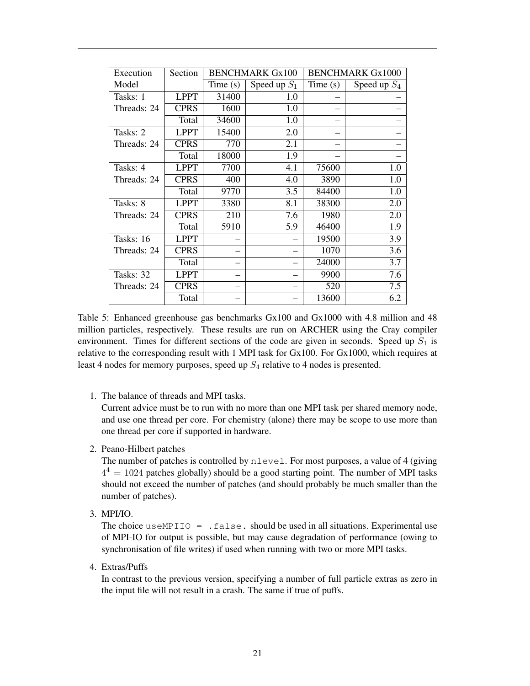| Execution   | Section     |         | <b>BENCHMARK Gx100</b> |            | <b>BENCHMARK Gx1000</b> |
|-------------|-------------|---------|------------------------|------------|-------------------------|
| Model       |             | Time(s) | Speed up $S_1$         | Time $(s)$ | Speed up $S_4$          |
| Tasks: 1    | <b>LPPT</b> | 31400   | 1.0                    |            |                         |
| Threads: 24 | <b>CPRS</b> | 1600    | 1.0                    |            |                         |
|             | Total       | 34600   | 1.0                    |            |                         |
| Tasks: 2    | <b>LPPT</b> | 15400   | 2.0                    |            |                         |
| Threads: 24 | <b>CPRS</b> | 770     | 2.1                    |            |                         |
|             | Total       | 18000   | 1.9                    |            |                         |
| Tasks: 4    | <b>LPPT</b> | 7700    | 4.1                    | 75600      | 1.0                     |
| Threads: 24 | <b>CPRS</b> | 400     | 4.0                    | 3890       | 1.0                     |
|             | Total       | 9770    | 3.5                    | 84400      | 1.0                     |
| Tasks: 8    | <b>LPPT</b> | 3380    | 8.1                    | 38300      | 2.0                     |
| Threads: 24 | <b>CPRS</b> | 210     | 7.6                    | 1980       | 2.0                     |
|             | Total       | 5910    | 5.9                    | 46400      | 1.9                     |
| Tasks: 16   | <b>LPPT</b> |         |                        | 19500      | 3.9                     |
| Threads: 24 | <b>CPRS</b> |         |                        | 1070       | 3.6                     |
|             | Total       |         |                        | 24000      | 3.7                     |
| Tasks: 32   | <b>LPPT</b> |         |                        | 9900       | 7.6                     |
| Threads: 24 | <b>CPRS</b> |         |                        | 520        | 7.5                     |
|             | Total       |         |                        | 13600      | 6.2                     |

<span id="page-20-0"></span>Table 5: Enhanced greenhouse gas benchmarks Gx100 and Gx1000 with 4.8 million and 48 million particles, respectively. These results are run on ARCHER using the Cray compiler environment. Times for different sections of the code are given in seconds. Speed up  $S_1$  is relative to the corresponding result with 1 MPI task for Gx100. For Gx1000, which requires at least 4 nodes for memory purposes, speed up  $S_4$  relative to 4 nodes is presented.

1. The balance of threads and MPI tasks.

Current advice must be to run with no more than one MPI task per shared memory node, and use one thread per core. For chemistry (alone) there may be scope to use more than one thread per core if supported in hardware.

2. Peano-Hilbert patches

The number of patches is controlled by nlevel. For most purposes, a value of 4 (giving  $4<sup>4</sup> = 1024$  patches globally) should be a good starting point. The number of MPI tasks should not exceed the number of patches (and should probably be much smaller than the number of patches).

3. MPI/IO.

The choice useMPIIO =  $. false.$  should be used in all situations. Experimental use of MPI-IO for output is possible, but may cause degradation of performance (owing to synchronisation of file writes) if used when running with two or more MPI tasks.

4. Extras/Puffs

In contrast to the previous version, specifying a number of full particle extras as zero in the input file will not result in a crash. The same if true of puffs.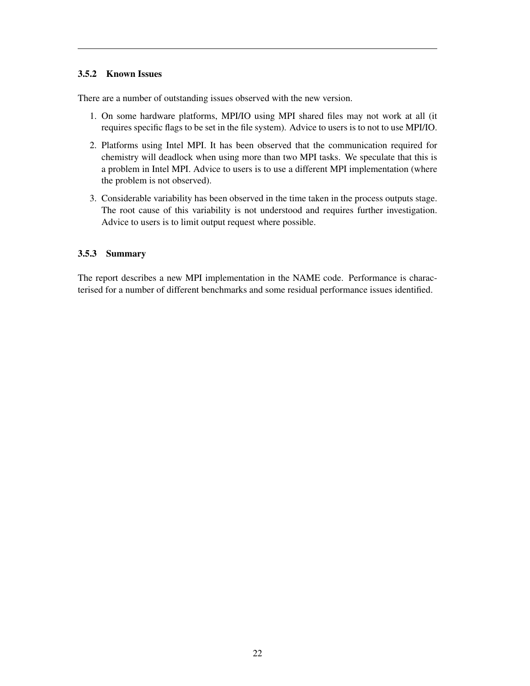### <span id="page-21-0"></span>3.5.2 Known Issues

There are a number of outstanding issues observed with the new version.

- 1. On some hardware platforms, MPI/IO using MPI shared files may not work at all (it requires specific flags to be set in the file system). Advice to users is to not to use MPI/IO.
- 2. Platforms using Intel MPI. It has been observed that the communication required for chemistry will deadlock when using more than two MPI tasks. We speculate that this is a problem in Intel MPI. Advice to users is to use a different MPI implementation (where the problem is not observed).
- 3. Considerable variability has been observed in the time taken in the process outputs stage. The root cause of this variability is not understood and requires further investigation. Advice to users is to limit output request where possible.

### <span id="page-21-1"></span>3.5.3 Summary

The report describes a new MPI implementation in the NAME code. Performance is characterised for a number of different benchmarks and some residual performance issues identified.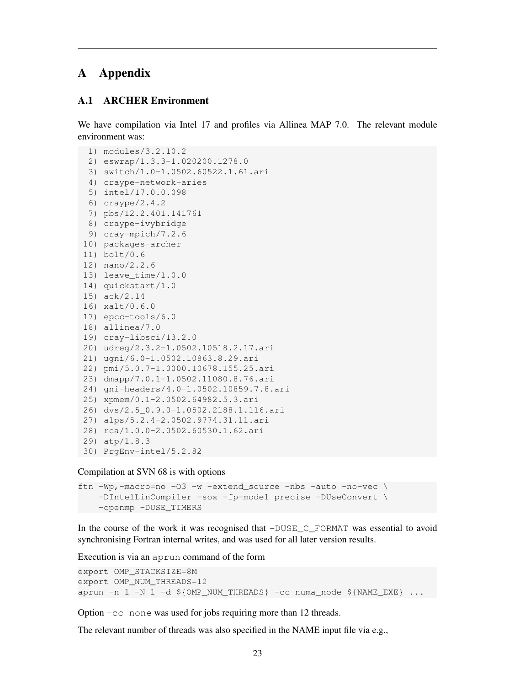# <span id="page-22-0"></span>A Appendix

#### <span id="page-22-1"></span>A.1 ARCHER Environment

We have compilation via Intel 17 and profiles via Allinea MAP 7.0. The relevant module environment was:

```
1) modules/3.2.10.2
 2) eswrap/1.3.3-1.020200.1278.0
 3) switch/1.0-1.0502.60522.1.61.ari
 4) craype-network-aries
 5) intel/17.0.0.098
 6) craype/2.4.2
7) pbs/12.2.401.141761
 8) craype-ivybridge
9) cray-mpich/7.2.6
10) packages-archer
11) bolt/0.6
12) nano/2.2.6
13) leave_time/1.0.0
14) quickstart/1.0
15) ack/2.14
16) xalt/0.6.0
17) epcc-tools/6.0
18) allinea/7.0
19) cray-libsci/13.2.0
20) udreg/2.3.2-1.0502.10518.2.17.ari
21) ugni/6.0-1.0502.10863.8.29.ari
22) pmi/5.0.7-1.0000.10678.155.25.ari
23) dmapp/7.0.1-1.0502.11080.8.76.ari
24) gni-headers/4.0-1.0502.10859.7.8.ari
25) xpmem/0.1-2.0502.64982.5.3.ari
26) dvs/2.5_0.9.0-1.0502.2188.1.116.ari
27) alps/5.2.4-2.0502.9774.31.11.ari
28) rca/1.0.0-2.0502.60530.1.62.ari
29) atp/1.8.3
30) PrgEnv-intel/5.2.82
```
Compilation at SVN 68 is with options

```
ftn -Wp, -macro=no -03 -w -extend_source -nbs -auto -no-vec \
   -DIntelLinCompiler -sox -fp-model precise -DUseConvert \
   -openmp -DUSE_TIMERS
```
In the course of the work it was recognised that  $-DUSE\,C$  FORMAT was essential to avoid synchronising Fortran internal writes, and was used for all later version results.

Execution is via an aprun command of the form

```
export OMP_STACKSIZE=8M
export OMP_NUM_THREADS=12
aprun -n 1 -N 1 -d ${OMP_NUM_THREADS} -cc numa_node ${NAME_EXE} ...
```
Option -cc none was used for jobs requiring more than 12 threads.

The relevant number of threads was also specified in the NAME input file via e.g.,